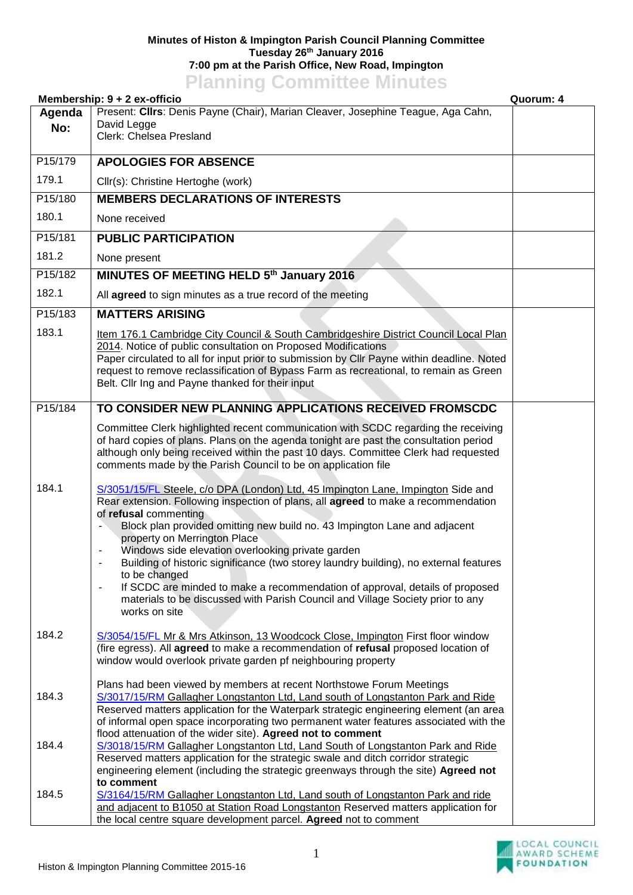## **Minutes of Histon & Impington Parish Council Planning Committee Tuesday 26th January 2016 7:00 pm at the Parish Office, New Road, Impington Planning Committee Minutes**

| Quorum: 4<br>Membership: 9 + 2 ex-officio |                                                                                                                                                                                |  |  |  |
|-------------------------------------------|--------------------------------------------------------------------------------------------------------------------------------------------------------------------------------|--|--|--|
| Agenda                                    | Present: Cllrs: Denis Payne (Chair), Marian Cleaver, Josephine Teague, Aga Cahn,<br>David Legge                                                                                |  |  |  |
| No:                                       | Clerk: Chelsea Presland                                                                                                                                                        |  |  |  |
| P15/179                                   | <b>APOLOGIES FOR ABSENCE</b>                                                                                                                                                   |  |  |  |
| 179.1                                     | Cllr(s): Christine Hertoghe (work)                                                                                                                                             |  |  |  |
| P15/180                                   | <b>MEMBERS DECLARATIONS OF INTERESTS</b>                                                                                                                                       |  |  |  |
| 180.1                                     | None received                                                                                                                                                                  |  |  |  |
| P15/181                                   | <b>PUBLIC PARTICIPATION</b>                                                                                                                                                    |  |  |  |
| 181.2                                     | None present                                                                                                                                                                   |  |  |  |
| P15/182                                   | MINUTES OF MEETING HELD 5th January 2016                                                                                                                                       |  |  |  |
| 182.1                                     | All agreed to sign minutes as a true record of the meeting                                                                                                                     |  |  |  |
| P15/183                                   | <b>MATTERS ARISING</b>                                                                                                                                                         |  |  |  |
| 183.1                                     |                                                                                                                                                                                |  |  |  |
|                                           | Item 176.1 Cambridge City Council & South Cambridgeshire District Council Local Plan<br>2014. Notice of public consultation on Proposed Modifications                          |  |  |  |
|                                           | Paper circulated to all for input prior to submission by CIIr Payne within deadline. Noted                                                                                     |  |  |  |
|                                           | request to remove reclassification of Bypass Farm as recreational, to remain as Green<br>Belt. Cllr Ing and Payne thanked for their input                                      |  |  |  |
|                                           |                                                                                                                                                                                |  |  |  |
| P15/184                                   | TO CONSIDER NEW PLANNING APPLICATIONS RECEIVED FROMSCDC                                                                                                                        |  |  |  |
|                                           | Committee Clerk highlighted recent communication with SCDC regarding the receiving<br>of hard copies of plans. Plans on the agenda tonight are past the consultation period    |  |  |  |
|                                           | although only being received within the past 10 days. Committee Clerk had requested                                                                                            |  |  |  |
|                                           | comments made by the Parish Council to be on application file                                                                                                                  |  |  |  |
| 184.1                                     | S/3051/15/FL Steele, c/o DPA (London) Ltd, 45 Impington Lane, Impington Side and                                                                                               |  |  |  |
|                                           | Rear extension. Following inspection of plans, all <b>agreed</b> to make a recommendation<br>of refusal commenting                                                             |  |  |  |
|                                           | Block plan provided omitting new build no. 43 Impington Lane and adjacent                                                                                                      |  |  |  |
|                                           | property on Merrington Place<br>Windows side elevation overlooking private garden                                                                                              |  |  |  |
|                                           | Building of historic significance (two storey laundry building), no external features                                                                                          |  |  |  |
|                                           | to be changed<br>If SCDC are minded to make a recommendation of approval, details of proposed<br>$\qquad \qquad \blacksquare$                                                  |  |  |  |
|                                           | materials to be discussed with Parish Council and Village Society prior to any<br>works on site                                                                                |  |  |  |
|                                           |                                                                                                                                                                                |  |  |  |
| 184.2                                     | S/3054/15/FL Mr & Mrs Atkinson, 13 Woodcock Close, Impington First floor window<br>(fire egress). All agreed to make a recommendation of refusal proposed location of          |  |  |  |
|                                           | window would overlook private garden pf neighbouring property                                                                                                                  |  |  |  |
|                                           | Plans had been viewed by members at recent Northstowe Forum Meetings                                                                                                           |  |  |  |
| 184.3                                     | S/3017/15/RM Gallagher Longstanton Ltd, Land south of Longstanton Park and Ride                                                                                                |  |  |  |
|                                           | Reserved matters application for the Waterpark strategic engineering element (an area<br>of informal open space incorporating two permanent water features associated with the |  |  |  |
|                                           | flood attenuation of the wider site). Agreed not to comment                                                                                                                    |  |  |  |
| 184.4                                     | S/3018/15/RM Gallagher Longstanton Ltd, Land South of Longstanton Park and Ride<br>Reserved matters application for the strategic swale and ditch corridor strategic           |  |  |  |
|                                           | engineering element (including the strategic greenways through the site) Agreed not                                                                                            |  |  |  |
| 184.5                                     | to comment<br>S/3164/15/RM Gallagher Longstanton Ltd, Land south of Longstanton Park and ride                                                                                  |  |  |  |
|                                           | and adjacent to B1050 at Station Road Longstanton Reserved matters application for                                                                                             |  |  |  |
|                                           | the local centre square development parcel. Agreed not to comment                                                                                                              |  |  |  |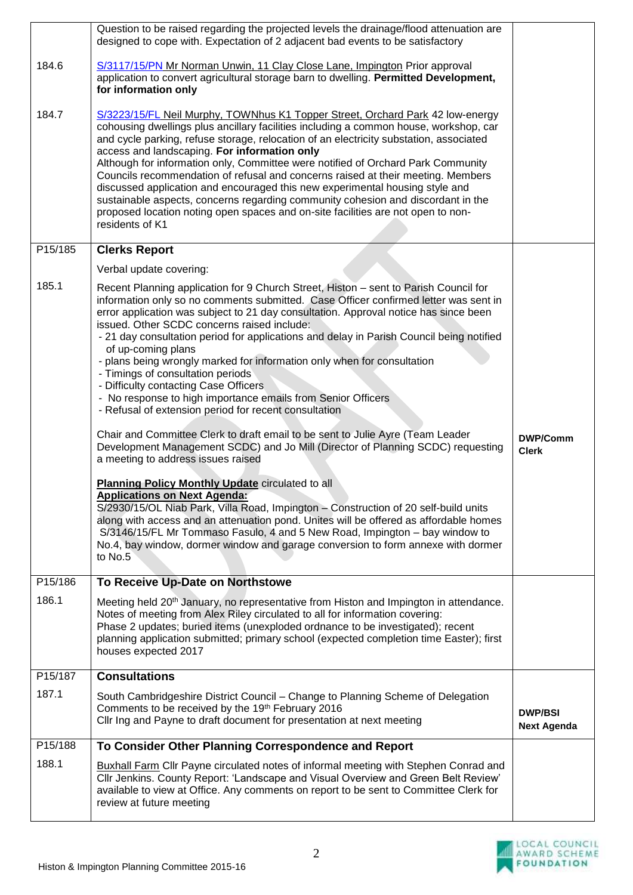|         | Question to be raised regarding the projected levels the drainage/flood attenuation are<br>designed to cope with. Expectation of 2 adjacent bad events to be satisfactory                                                                                                                                                                                                                                                                                                                                                                                                                                                                                                                                                                                                                                                                                                                                                                                                                                                                                                                                                                                                                                                                                                                                                                                                                          |                                      |
|---------|----------------------------------------------------------------------------------------------------------------------------------------------------------------------------------------------------------------------------------------------------------------------------------------------------------------------------------------------------------------------------------------------------------------------------------------------------------------------------------------------------------------------------------------------------------------------------------------------------------------------------------------------------------------------------------------------------------------------------------------------------------------------------------------------------------------------------------------------------------------------------------------------------------------------------------------------------------------------------------------------------------------------------------------------------------------------------------------------------------------------------------------------------------------------------------------------------------------------------------------------------------------------------------------------------------------------------------------------------------------------------------------------------|--------------------------------------|
| 184.6   | S/3117/15/PN Mr Norman Unwin, 11 Clay Close Lane, Impington Prior approval<br>application to convert agricultural storage barn to dwelling. Permitted Development,<br>for information only                                                                                                                                                                                                                                                                                                                                                                                                                                                                                                                                                                                                                                                                                                                                                                                                                                                                                                                                                                                                                                                                                                                                                                                                         |                                      |
| 184.7   | S/3223/15/FL Neil Murphy, TOWNhus K1 Topper Street, Orchard Park 42 low-energy<br>cohousing dwellings plus ancillary facilities including a common house, workshop, car<br>and cycle parking, refuse storage, relocation of an electricity substation, associated<br>access and landscaping. For information only<br>Although for information only, Committee were notified of Orchard Park Community<br>Councils recommendation of refusal and concerns raised at their meeting. Members<br>discussed application and encouraged this new experimental housing style and<br>sustainable aspects, concerns regarding community cohesion and discordant in the<br>proposed location noting open spaces and on-site facilities are not open to non-<br>residents of K1                                                                                                                                                                                                                                                                                                                                                                                                                                                                                                                                                                                                                               |                                      |
| P15/185 | <b>Clerks Report</b>                                                                                                                                                                                                                                                                                                                                                                                                                                                                                                                                                                                                                                                                                                                                                                                                                                                                                                                                                                                                                                                                                                                                                                                                                                                                                                                                                                               |                                      |
|         | Verbal update covering:                                                                                                                                                                                                                                                                                                                                                                                                                                                                                                                                                                                                                                                                                                                                                                                                                                                                                                                                                                                                                                                                                                                                                                                                                                                                                                                                                                            |                                      |
| 185.1   | Recent Planning application for 9 Church Street, Histon - sent to Parish Council for<br>information only so no comments submitted. Case Officer confirmed letter was sent in<br>error application was subject to 21 day consultation. Approval notice has since been<br>issued. Other SCDC concerns raised include:<br>- 21 day consultation period for applications and delay in Parish Council being notified<br>of up-coming plans<br>- plans being wrongly marked for information only when for consultation<br>- Timings of consultation periods<br>- Difficulty contacting Case Officers<br>- No response to high importance emails from Senior Officers<br>- Refusal of extension period for recent consultation<br>Chair and Committee Clerk to draft email to be sent to Julie Ayre (Team Leader<br>Development Management SCDC) and Jo Mill (Director of Planning SCDC) requesting<br>a meeting to address issues raised<br><b>Planning Policy Monthly Update circulated to all</b><br><b>Applications on Next Agenda:</b><br>S/2930/15/OL Niab Park, Villa Road, Impington - Construction of 20 self-build units<br>along with access and an attenuation pond. Unites will be offered as affordable homes<br>S/3146/15/FL Mr Tommaso Fasulo, 4 and 5 New Road, Impington - bay window to<br>No.4, bay window, dormer window and garage conversion to form annexe with dormer<br>to No.5 | <b>DWP/Comm</b><br><b>Clerk</b>      |
| P15/186 | To Receive Up-Date on Northstowe                                                                                                                                                                                                                                                                                                                                                                                                                                                                                                                                                                                                                                                                                                                                                                                                                                                                                                                                                                                                                                                                                                                                                                                                                                                                                                                                                                   |                                      |
| 186.1   | Meeting held 20 <sup>th</sup> January, no representative from Histon and Impington in attendance.<br>Notes of meeting from Alex Riley circulated to all for information covering:<br>Phase 2 updates; buried items (unexploded ordnance to be investigated); recent<br>planning application submitted; primary school (expected completion time Easter); first<br>houses expected 2017                                                                                                                                                                                                                                                                                                                                                                                                                                                                                                                                                                                                                                                                                                                                                                                                                                                                                                                                                                                                             |                                      |
| P15/187 | <b>Consultations</b>                                                                                                                                                                                                                                                                                                                                                                                                                                                                                                                                                                                                                                                                                                                                                                                                                                                                                                                                                                                                                                                                                                                                                                                                                                                                                                                                                                               |                                      |
| 187.1   | South Cambridgeshire District Council – Change to Planning Scheme of Delegation<br>Comments to be received by the 19th February 2016<br>Cllr Ing and Payne to draft document for presentation at next meeting                                                                                                                                                                                                                                                                                                                                                                                                                                                                                                                                                                                                                                                                                                                                                                                                                                                                                                                                                                                                                                                                                                                                                                                      | <b>DWP/BSI</b><br><b>Next Agenda</b> |
| P15/188 | To Consider Other Planning Correspondence and Report                                                                                                                                                                                                                                                                                                                                                                                                                                                                                                                                                                                                                                                                                                                                                                                                                                                                                                                                                                                                                                                                                                                                                                                                                                                                                                                                               |                                      |
| 188.1   | Buxhall Farm Cllr Payne circulated notes of informal meeting with Stephen Conrad and<br>Cllr Jenkins. County Report: 'Landscape and Visual Overview and Green Belt Review'<br>available to view at Office. Any comments on report to be sent to Committee Clerk for<br>review at future meeting                                                                                                                                                                                                                                                                                                                                                                                                                                                                                                                                                                                                                                                                                                                                                                                                                                                                                                                                                                                                                                                                                                    |                                      |